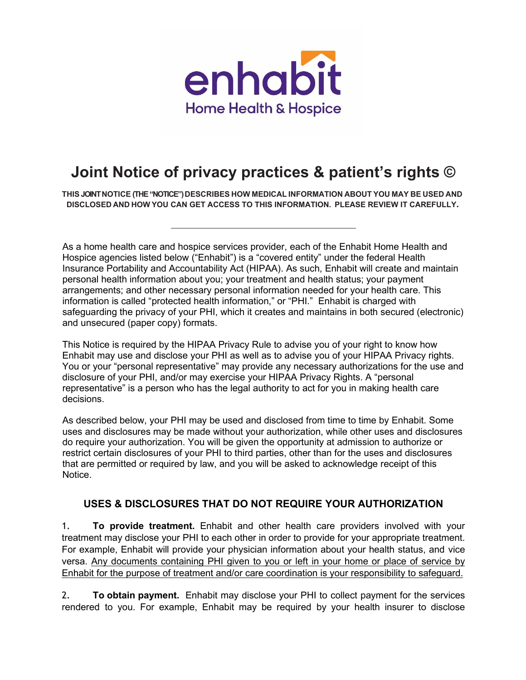

# **Joint Notice of privacy practices & patient's rights ©**

**THIS JOINT NOTICE (THE "NOTICE") DESCRIBES HOW MEDICAL INFORMATION ABOUT YOU MAY BE USED AND DISCLOSED AND HOW YOU CAN GET ACCESS TO THIS INFORMATION. PLEASE REVIEW IT CAREFULLY.**

As a home health care and hospice services provider, each of the Enhabit Home Health and Hospice agencies listed below ("Enhabit") is a "covered entity" under the federal Health Insurance Portability and Accountability Act (HIPAA). As such, Enhabit will create and maintain personal health information about you; your treatment and health status; your payment arrangements; and other necessary personal information needed for your health care. This information is called "protected health information," or "PHI." Enhabit is charged with safeguarding the privacy of your PHI, which it creates and maintains in both secured (electronic) and unsecured (paper copy) formats.

This Notice is required by the HIPAA Privacy Rule to advise you of your right to know how Enhabit may use and disclose your PHI as well as to advise you of your HIPAA Privacy rights. You or your "personal representative" may provide any necessary authorizations for the use and disclosure of your PHI, and/or may exercise your HIPAA Privacy Rights. A "personal representative" is a person who has the legal authority to act for you in making health care decisions.

As described below, your PHI may be used and disclosed from time to time by Enhabit. Some uses and disclosures may be made without your authorization, while other uses and disclosures do require your authorization. You will be given the opportunity at admission to authorize or restrict certain disclosures of your PHI to third parties, other than for the uses and disclosures that are permitted or required by law, and you will be asked to acknowledge receipt of this Notice.

### **USES & DISCLOSURES THAT DO NOT REQUIRE YOUR AUTHORIZATION**

1. **To provide treatment.** Enhabit and other health care providers involved with your treatment may disclose your PHI to each other in order to provide for your appropriate treatment. For example, Enhabit will provide your physician information about your health status, and vice versa. Any documents containing PHI given to you or left in your home or place of service by Enhabit for the purpose of treatment and/or care coordination is your responsibility to safeguard.

2. **To obtain payment.** Enhabit may disclose your PHI to collect payment for the services rendered to you. For example, Enhabit may be required by your health insurer to disclose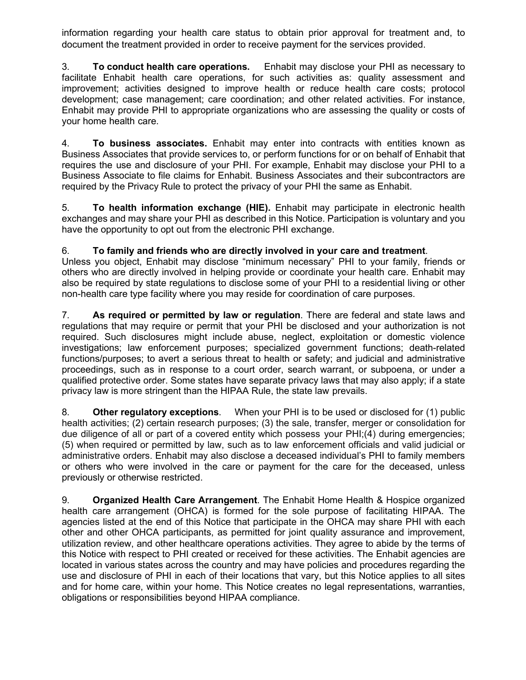information regarding your health care status to obtain prior approval for treatment and, to document the treatment provided in order to receive payment for the services provided.

3. **To conduct health care operations.** Enhabit may disclose your PHI as necessary to facilitate Enhabit health care operations, for such activities as: quality assessment and improvement; activities designed to improve health or reduce health care costs; protocol development; case management; care coordination; and other related activities. For instance, Enhabit may provide PHI to appropriate organizations who are assessing the quality or costs of your home health care.

4. **To business associates.** Enhabit may enter into contracts with entities known as Business Associates that provide services to, or perform functions for or on behalf of Enhabit that requires the use and disclosure of your PHI. For example, Enhabit may disclose your PHI to a Business Associate to file claims for Enhabit. Business Associates and their subcontractors are required by the Privacy Rule to protect the privacy of your PHI the same as Enhabit.

5. **To health information exchange (HIE).** Enhabit may participate in electronic health exchanges and may share your PHI as described in this Notice. Participation is voluntary and you have the opportunity to opt out from the electronic PHI exchange.

#### 6. **To family and friends who are directly involved in your care and treatment**.

Unless you object, Enhabit may disclose "minimum necessary" PHI to your family, friends or others who are directly involved in helping provide or coordinate your health care. Enhabit may also be required by state regulations to disclose some of your PHI to a residential living or other non-health care type facility where you may reside for coordination of care purposes.

7. **As required or permitted by law or regulation**. There are federal and state laws and regulations that may require or permit that your PHI be disclosed and your authorization is not required. Such disclosures might include abuse, neglect, exploitation or domestic violence investigations; law enforcement purposes; specialized government functions; death-related functions/purposes; to avert a serious threat to health or safety; and judicial and administrative proceedings, such as in response to a court order, search warrant, or subpoena, or under a qualified protective order. Some states have separate privacy laws that may also apply; if a state privacy law is more stringent than the HIPAA Rule, the state law prevails.

8. **Other regulatory exceptions**. When your PHI is to be used or disclosed for (1) public health activities; (2) certain research purposes; (3) the sale, transfer, merger or consolidation for due diligence of all or part of a covered entity which possess your PHI;(4) during emergencies; (5) when required or permitted by law, such as to law enforcement officials and valid judicial or administrative orders. Enhabit may also disclose a deceased individual's PHI to family members or others who were involved in the care or payment for the care for the deceased, unless previously or otherwise restricted.

9. **Organized Health Care Arrangement**. The Enhabit Home Health & Hospice organized health care arrangement (OHCA) is formed for the sole purpose of facilitating HIPAA. The agencies listed at the end of this Notice that participate in the OHCA may share PHI with each other and other OHCA participants, as permitted for joint quality assurance and improvement, utilization review, and other healthcare operations activities. They agree to abide by the terms of this Notice with respect to PHI created or received for these activities. The Enhabit agencies are located in various states across the country and may have policies and procedures regarding the use and disclosure of PHI in each of their locations that vary, but this Notice applies to all sites and for home care, within your home. This Notice creates no legal representations, warranties, obligations or responsibilities beyond HIPAA compliance.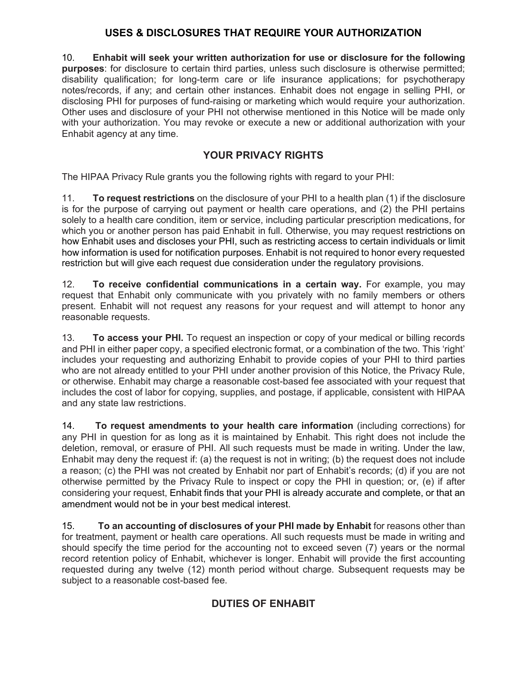## **USES & DISCLOSURES THAT REQUIRE YOUR AUTHORIZATION**

10. **Enhabit will seek your written authorization for use or disclosure for the following purposes**: for disclosure to certain third parties, unless such disclosure is otherwise permitted; disability qualification; for long-term care or life insurance applications; for psychotherapy notes/records, if any; and certain other instances. Enhabit does not engage in selling PHI, or disclosing PHI for purposes of fund-raising or marketing which would require your authorization. Other uses and disclosure of your PHI not otherwise mentioned in this Notice will be made only with your authorization. You may revoke or execute a new or additional authorization with your Enhabit agency at any time.

## **YOUR PRIVACY RIGHTS**

The HIPAA Privacy Rule grants you the following rights with regard to your PHI:

11. **To request restrictions** on the disclosure of your PHI to a health plan (1) if the disclosure is for the purpose of carrying out payment or health care operations, and (2) the PHI pertains solely to a health care condition, item or service, including particular prescription medications, for which you or another person has paid Enhabit in full. Otherwise, you may request restrictions on how Enhabit uses and discloses your PHI, such as restricting access to certain individuals or limit how information is used for notification purposes. Enhabit is not required to honor every requested restriction but will give each request due consideration under the regulatory provisions.

12. **To receive confidential communications in a certain way.** For example, you may request that Enhabit only communicate with you privately with no family members or others present. Enhabit will not request any reasons for your request and will attempt to honor any reasonable requests.

13. **To access your PHI.** To request an inspection or copy of your medical or billing records and PHI in either paper copy, a specified electronic format, or a combination of the two. This 'right' includes your requesting and authorizing Enhabit to provide copies of your PHI to third parties who are not already entitled to your PHI under another provision of this Notice, the Privacy Rule, or otherwise. Enhabit may charge a reasonable cost-based fee associated with your request that includes the cost of labor for copying, supplies, and postage, if applicable, consistent with HIPAA and any state law restrictions.

14. **To request amendments to your health care information** (including corrections) for any PHI in question for as long as it is maintained by Enhabit. This right does not include the deletion, removal, or erasure of PHI. All such requests must be made in writing. Under the law, Enhabit may deny the request if: (a) the request is not in writing; (b) the request does not include a reason; (c) the PHI was not created by Enhabit nor part of Enhabit's records; (d) if you are not otherwise permitted by the Privacy Rule to inspect or copy the PHI in question; or, (e) if after considering your request, Enhabit finds that your PHI is already accurate and complete, or that an amendment would not be in your best medical interest.

15. **To an accounting of disclosures of your PHI made by Enhabit** for reasons other than for treatment, payment or health care operations. All such requests must be made in writing and should specify the time period for the accounting not to exceed seven (7) years or the normal record retention policy of Enhabit, whichever is longer. Enhabit will provide the first accounting requested during any twelve (12) month period without charge. Subsequent requests may be subject to a reasonable cost-based fee.

## **DUTIES OF ENHABIT**